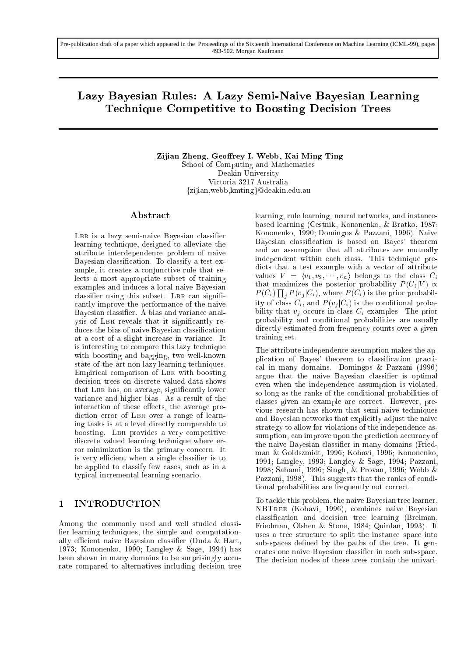# Lazy Bayesian Rules: A Lazy Semi-Naive Bayesian Learning Technique Competitive to Boosting Decision Trees

Zijian Zheng, Geoffrey I. Webb, Kai Ming Ting School of Computing and Mathematics Deakin University Victoria 3217 Australia {zijian,webb, kmting}@deakin.edu.au

### Abstract

LBR is a lazy semi-naive Bayesian classifier learning technique, designed to alleviate the attribute interdependence problem of naive Bayesian classication. To classify a test example, it creates a conjunctive rule that selects a most appropriate subset of training examples and induces a local naive Bayesian classifier using this subset. LBR can significantly improve the performance of the naive Bayesian classifier. A bias and variance analysis of LBR reveals that it significantly reduces the bias of naive Bayesian classication at a cost of a slight increase in variance. It is interesting to compare this lazy technique with boosting and bagging, two well-known state-of-the-art non-lazy learning techniques. Empirical comparison of LBR with boosting decision trees on discrete valued data shows that LBR has, on average, significantly lower variance and higher bias. As a result of the interaction of these effects, the average prediction error of LBR over a range of learning tasks is at a level directly comparable to boosting. LBR provides a very competitive discrete valued learning technique where error minimization is the primary concern. It is very efficient when a single classifier is to be applied to classify few cases, such as in a typical incremental learning scenario.

### 1 INTRODUCTION

Among the commonly used and well studied classi fier learning techniques, the simple and computationally efficient naive Bayesian classifier (Duda & Hart, 1973; Kononenko, 1990; Langley & Sage, 1994) has been shown in many domains to be surprisingly accurate compared to alternatives including decision tree learning, rule learning, neural networks, and instancebased learning (Cestnik, Kononenko, & Bratko, 1987; Kononenko, 1990; Domingos & Pazzani, 1996). Naive Bayesian classication is based on Bayes' theorem and an assumption that all attributes are mutually independent within each class. This technique predicts that a test example with a vector of attribute values  $V = \langle v_1, v_2, \dots, v_n \rangle$  belongs to the class  $C_i$ that maximizes the posterior probability  $P(C_i|V) \propto$  $P(C_i) \prod_j P(v_j|C_i)$ , where  $P(C_i)$  is the prior probability of class  $C_i$ , and  $P(v_i|C_i)$  is the conditional probability that  $v_i$  occurs in class  $C_i$  examples. The prior probability and conditional probabilities are usually directly estimated from frequency counts over a given training set.

The attribute independence assumption makes the application of Bayes' theorem to classication practical in many domains. Domingos & Pazzani (1996) argue that the naive Bayesian classifier is optimal even when the independence assumption is violated, so long as the ranks of the conditional probabilities of classes given an example are correct. However, previous research has shown that semi-naive techniques and Bayesian networks that explicitly adjust the naive strategy to allow for violations of the independence assumption, can improve upon the prediction accuracy of the naive Bayesian classifier in many domains (Friedman & Goldszmidt, 1996; Kohavi, 1996; Kononenko, 1991; Langley, 1993; Langley & Sage, 1994; Pazzani, 1998; Sahami, 1996; Singh, & Provan, 1996; Webb & Pazzani, 1998). This suggests that the ranks of conditional probabilities are frequently not correct.

To tackle this problem, the naive Bayesian tree learner, NBTree (Kohavi, 1996), combines naive Bayesian classication and decision tree learning (Breiman, Friedman, Olshen & Stone, 1984; Quinlan, 1993). It uses a tree structure to split the instance space into sub-spaces defined by the paths of the tree. It generates one naive Bayesian classier in each sub-space. The decision nodes of these trees contain the univari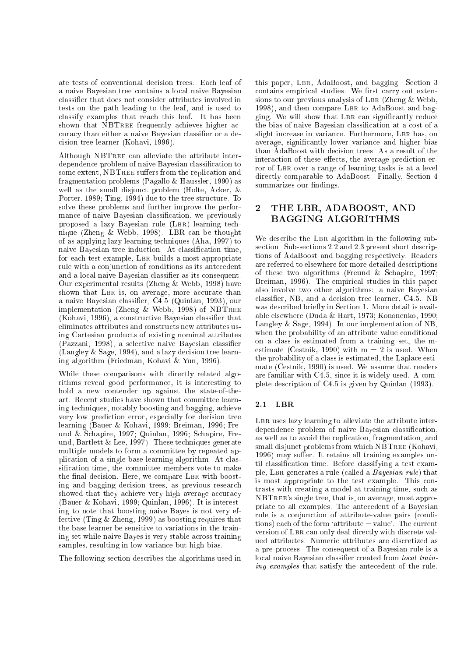ate tests of conventional decision trees. Each leaf of a naive Bayesian tree contains a local naive Bayesian classier that does not consider attributes involved in tests on the path leading to the leaf, and is used to classify examples that reach this leaf. It has been shown that NBTREE frequently achieves higher accuracy than either a naive Bayesian classifier or a decision tree learner (Kohavi, 1996).

Although NBTree can alleviate the attribute interdependence problem of naive Bayesian classification to some extent, NBTREE suffers from the replication and fragmentation problems (Pagallo & Haussler, 1990) as well as the small disjunct problem (Holte, Acker, & Porter, 1989; Ting, 1994) due to the tree structure. To solve these problems and further improve the performance of naive Bayesian classification, we previously proposed a lazy Bayesian rule (LBR) learning technique (Zheng & Webb, 1998). LBR can be thought of as applying lazy learning techniques (Aha, 1997) to naive Bayesian tree induction. At classication time, for each test example, LBR builds a most appropriate rule with a conjunction of conditions as its antecedent and a local naive Bayesian classier as its consequent. Our experimental results (Zheng & Webb, 1998) have shown that LBR is, on average, more accurate than <sup>a</sup> naive Bayesian classier, C4.5 (Quinlan, 1993), our implementation (Zheng & Webb, 1998) of NBTree (Kohavi, 1996), a constructive Bayesian classier that eliminates attributes and constructs new attributes using Cartesian products of existing nominal attributes (Pazzani, 1998), a selective naive Bayesian classier (Langley & Sage, 1994), and a lazy decision tree learning algorithm (Friedman, Kohavi & Yun, 1996).

While these comparisons with directly related algorithms reveal good performance, it is interesting to hold a new contender up against the state-of-theart. Recent studies have shown that committee learning techniques, notably boosting and bagging, achieve very low prediction error, especially for decision tree learning (Bauer & Kohavi, 1999; Breiman, 1996; Freund & Schapire, 1997; Quinlan, 1996; Schapire, Freund, Bartlett  $\&$  Lee, 1997). These techniques generate multiple models to form a committee by repeated application of a single base learning algorithm. At classification time, the committee members vote to make the final decision. Here, we compare LBR with boosting and bagging decision trees, as previous research showed that they achieve very high average accuracy (Bauer & Kohavi, 1999; Quinlan, 1996). It is interesting to note that boosting naive Bayes is not very effective (Ting  $&$  Zheng, 1999) as boosting requires that the base learner be sensitive to variations in the training set while naive Bayes is very stable across training samples, resulting in low variance but high bias.

The following section describes the algorithms used in

this paper, Lbr, AdaBoost, and bagging. Section 3 contains empirical studies. We first carry out extensions to our previous analysis of LBR (Zheng  $&$  Webb, 1998), and then compare LBR to AdaBoost and bagging. We will show that Lbr can signicantly reduce the bias of naive Bayesian classication at a cost of a slight increase in variance. Furthermore, LBR has, on average, signicantly lower variance and higher bias than AdaBoost with decision trees. As a result of the interaction of these effects, the average prediction error of LBR over a range of learning tasks is at a level directly comparable to AdaBoost. Finally, Section 4 summarizes our findings.

## 2 THE LBR, ADABOOST, AND BAGGING ALGORITHMS

We describe the LBR algorithm in the following subsection. Sub-sections 2.2 and 2.3 present short descriptions of AdaBoost and bagging respectively. Readers are referred to elsewhere for more detailed descriptions of these two algorithms (Freund & Schapire, 1997; Breiman, 1996). The empirical studies in this paper also involve two other algorithms: a naive Bayesian classier, NB, and a decision tree learner, C4.5. NB was described briefly in Section 1. More detail is available elsewhere (Duda & Hart, 1973; Kononenko, 1990; Langley & Sage, 1994). In our implementation of NB, when the probability of an attribute value conditional on a class is estimated from a training set, the mestimate (Cestnik, 1990) with  $m = 2$  is used. When the probability of a class is estimated, the Laplace estimate (Cestnik, 1990) is used. We assume that readers are familiar with C4.5, since it is widely used. A complete description of C4.5 is given by Quinlan (1993).

#### 2.1 LBR

LBR uses lazy learning to alleviate the attribute interdependence problem of naive Bayesian classification, as well as to avoid the replication, fragmentation, and small disjunct problems from which NBTREE (Kohavi, 1996) may suffer. It retains all training examples until classication time. Before classifying a test example, LBR generates a rule (called a *Bayesian rule*) that is most appropriate to the test example. This contrasts with creating a model at training time, such as NBTree's single tree, that is, on average, most appropriate to all examples. The antecedent of a Bayesian rule is a conjunction of attribute-value pairs (conditions) each of the form 'attribute  $=$  value'. The current version of LBR can only deal directly with discrete valued attributes. Numeric attributes are discretized as a pre-process. The consequent of a Bayesian rule is a local naive Bayesian classifier created from *local train*ing examples that satisfy the antecedent of the rule.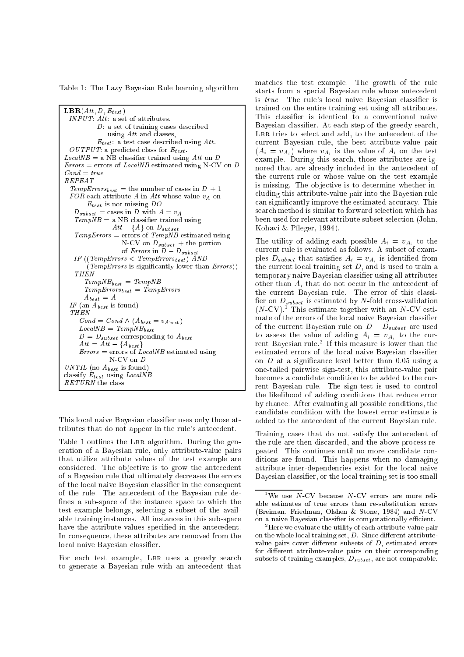Table 1: The Lazy Bayesian Rule learning algorithm

```
\mathbf{LBR}(Att, D, E_{test})INPUT: Att: a set of attributes,D: a set of training cases described
               using Att and classes,
            E_{test}: a test case described using Att.
  \mathit{OUTPUT}: a predicted class for \mathit{E}_{test}.LocalNB = a NB classifier trained using Att on D
Errors = errors of LocalNB estimated using N-CV on DCond = trueREPEAT
  TempErrors_{best} = the number of cases in D + 1FOR each attribute A in Att whose value v_A on
        E_{test} is not missing DOD_{subset} = cases in D with A = v_ATempNB = a NB classifier trained usingAtt - \{A\} on D_{subset}TempErrors = errors of TempNB estimated usingN-CV on D_{subset} + the portion
                     of Errors in D - D_{subset}IF ((TempErrors \langle TempErrors<sub>best</sub>) AND
        (TempErrors is signicantly lower than Errors))
    THEN
       TempNB_{best} = TempNBTempErrors_{best} = TempErrorsA_{best} = A\mathit{IF} (an \mathit{A_{\mathit{best}}} is found)
  THEN
     Cond = Cond \wedge (A_{best} = v_{A\text{best}})\label{eq:local} LocalNB = \textit{TempNB}_{best}D = D_{subset} corresponding to A_{best}\overline{Att} = \overline{\overline{Att}} - \{A_{best}\}Errors = errors of LocalNB estimated usingN-CV on D
UNTIL (no A_{best} is found)
classify E_{test} using LocalNBRETURN the class
```
This local naive Bayesian classifier uses only those attributes that do not appear in the rule's antecedent.

Table 1 outlines the LBR algorithm. During the generation of a Bayesian rule, only attribute-value pairs that utilize attribute values of the test example are considered. The objective is to grow the antecedent of a Bayesian rule that ultimately decreases the errors of the local naive Bayesian classier in the consequent of the rule. The antecedent of the Bayesian rule de fines a sub-space of the instance space to which the test example belongs, selecting a subset of the available training instances. All instances in this sub-space have the attribute-values specied in the antecedent. In consequence, these attributes are removed from the local naive Bayesian classifier.

For each test example, LBR uses a greedy search to generate a Bayesian rule with an antecedent that matches the test example. The growth of the rule starts from a special Bayesian rule whose antecedent is true. The rule's local naive Bayesian classifier is trained on the entire training set using all attributes. This classifier is identical to a conventional naive Bayesian classifier. At each step of the greedy search, LBR tries to select and add, to the antecedent of the current Bayesian rule, the best attribute-value pair  $(A_i = v_{A_i})$  where  $v_{A_i}$  is the value of  $A_i$  on the test example. During this search, those attributes are ignored that are already included in the antecedent of the current rule or whose value on the test example is missing. The objective is to determine whether including this attribute-value pair into the Bayesian rule can signicantly improve the estimated accuracy. This search method is similar to forward selection which has been used for relevant attribute subset selection (John, Kohavi & P
eger, 1994).

The utility of adding each possible  $A_i = v_{A_i}$  to the current rule is evaluated as follows. A subset of exampies  $D_{subset}$  that satisfies  $A_i = v_{A_i}$  is identified from the current local training set  $D$ , and is used to train a temporary naive Bayesian classier using all attributes other than  $A_i$  that do not occur in the antecedent of the current Bayesian rule. The error of this classi her on  $D_{subset}$  is estimated by TV-fold cross-validation (N-CV).<sup>1</sup> This estimate together with an N-CV estimate of the errors of the local naive Bayesian classifier of the current Bayesian rule on  $D - D_{subset}$  are used to assess the value of adding  $A_i = v_{A_i}$  to the current Bayesian rule.<sup>2</sup> If this measure is lower than the estimated errors of the local naive Bayesian classifier on  $D$  at a significance level better than 0.05 using a one-tailed pairwise sign-test, this attribute-value pair becomes a candidate condition to be added to the current Bayesian rule. The sign-test is used to control the likelihood of adding conditions that reduce error by chance. After evaluating all possible conditions, the candidate condition with the lowest error estimate is added to the antecedent of the current Bayesian rule.

Training cases that do not satisfy the antecedent of the rule are then discarded, and the above process repeated. This continues until no more candidate conditions are found. This happens when no damaging attribute inter-dependencies exist for the local naive Bayesian classier, or the local training set is too small

 $1\,\mathrm{We}$  use N-CV because N-CV errors are more reliable estimates of true errors than re-substitution errors (Breiman, Friedman, Olshen & Stone, 1984) and N-CV on a naive Bayesian classifier is computationally efficient.

<sup>2</sup> Here we evaluate the utility of each attribute-value pair on the whole local training set,  $D$ . Since different attributevalue pairs cover different subsets of  $D$ , estimated errors for different attribute-value pairs on their corresponding subsets of training examples,  $D_{subset}$ , are not comparable.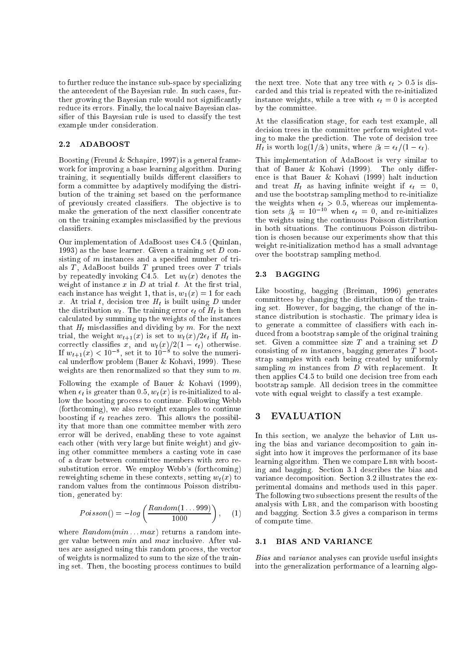to further reduce the instance sub-space by specializing the antecedent of the Bayesian rule. In such cases, further growing the Bayesian rule would not signicantly reduce its errors. Finally, the local naive Bayesian classier of this Bayesian rule is used to classify the test example under consideration.

#### 2.2 ADABOOST

Boosting (Freund & Schapire, 1997) is a general framework for improving a base learning algorithm. During training, it sequentially builds different classifiers to form a committee by adaptively modifying the distribution of the training set based on the performance of previously created classiers. The ob jective is to make the generation of the next classifier concentrate on the training examples misclassied by the previous classiers.

Our implementation of AdaBoost uses C4.5 (Quinlan, 1993) as the base learner. Given a training set  $D$  consisting of  $m$  instances and a specified number of trials  $T$ , AdaBoost builds  $T$  pruned trees over  $T$  trials by repeatedly invoking C4.5. Let  $w_t(x)$  denotes the weight of instance  $x$  in  $D$  at trial  $t$ . At the first trial, each instance has weight 1, that is,  $w_1(x) = 1$  for each x. At trial t, decision tree  $H_t$  is built using D under the distribution  $w_t$ . The training error  $\epsilon_t$  of  $H_t$  is then calculated by summing up the weights of the instances that  $H_t$  misclassifies and dividing by m. For the next trial, the weight  $w_{t+1}(x)$  is set to  $w_t(x)/2\epsilon_t$  if  $H_t$  incorrectly classifies x, and  $w_t(x)/2(1 - \epsilon_t)$  otherwise. If  $w_{t+1}(x) < 10^{-7}$ , set it to 10  $^{-1}$  to solve the numerical underflow problem (Bauer  $&$  Kohavi, 1999). These weights are then renormalized so that they sum to m.

Following the example of Bauer & Kohavi (1999), when  $\epsilon_t$  is greater than 0.5,  $w_t(x)$  is re-initialized to allow the boosting process to continue. Following Webb (forthcoming), we also reweight examples to continue boosting if  $\epsilon_t$  reaches zero. This allows the possibility that more than one committee member with zero error will be derived, enabling these to vote against each other (with very large but finite weight) and giving other committee members a casting vote in case of a draw between committee members with zero resubstitution error. We employ Webb's (forthcoming) reweighting scheme in these contexts, setting  $w_t(x)$  to random values from the continuous Poisson distribution, generated by:

$$
Poisson() = -log\left(\frac{Random(1...999)}{1000}\right), \quad (1)
$$

where  $Random(min...max)$  returns a random integer value between min and max inclusive. After values are assigned using this random process, the vector of weights is normalized to sum to the size of the training set. Then, the boosting process continues to build

the next tree. Note that any tree with  $\epsilon_t > 0.5$  is discarded and this trial is repeated with the re-initialized instance weights, while a tree with  $\epsilon_t = 0$  is accepted by the committee.

At the classication stage, for each test example, all decision trees in the committee perform weighted voting to make the prediction. The vote of decision tree  $H_t$  is worth  $\log(1/\beta_t)$  units, where  $\beta_t = \epsilon_t/(1 - \epsilon_t)$ .

This implementation of AdaBoost is very similar to This implementation of AdaBoost is very similar to AdaBoost is very similar to AdaBoost is very similar to the that of Bauer  $\&$  Kohavi (1999). The only difference is that Bauer & Kohavi (1999) halt induction and treat  $H_t$  as having infinite weight if  $\epsilon_t = 0$ , and use the bootstrap sampling method to re-initialize the weights when  $\epsilon_t > 0.5$ , whereas our implementation sets  $\rho_t = 10^{-10}$  when  $\epsilon_t = 0$ , and re-initializes the weights using the continuous Poisson distribution in both situations. The continuous Poisson distribution is chosen because our experiments show that this weight re-initialization method has a small advantage over the bootstrap sampling method.

#### 2.3 BAGGING

Like boosting, bagging (Breiman, 1996) generates committees by changing the distribution of the training set. However, for bagging, the change of the instance distribution is stochastic. The primary idea is to generate a committee of classiers with each induced from a bootstrap sample of the original training set. Given a committee size  $T$  and a training set  $D$ consisting of m instances, bagging generates  $\overline{T}$  bootstrap samples with each being created by uniformly sampling  $m$  instances from  $D$  with replacement. It then applies C4.5 to build one decision tree from each bootstrap sample. All decision trees in the committee vote with equal weight to classify a test example.

### 3 EVALUATION

In this section, we analyze the behavior of LBR using the bias and variance decomposition to gain insight into how it improves the performance of its base learning algorithm. Then we compare LBR with boosting and bagging. Section 3.1 describes the bias and variance decomposition. Section 3.2 illustrates the experimental domains and methods used in this paper. The following two subsections present the results of the analysis with Lbr, and the comparison with boosting and bagging. Section 3.5 gives a comparison in terms of compute time.

#### 3.1 BIAS AND VARIANCE

Bias and variance analyses can provide useful insights into the generalization performance of a learning algo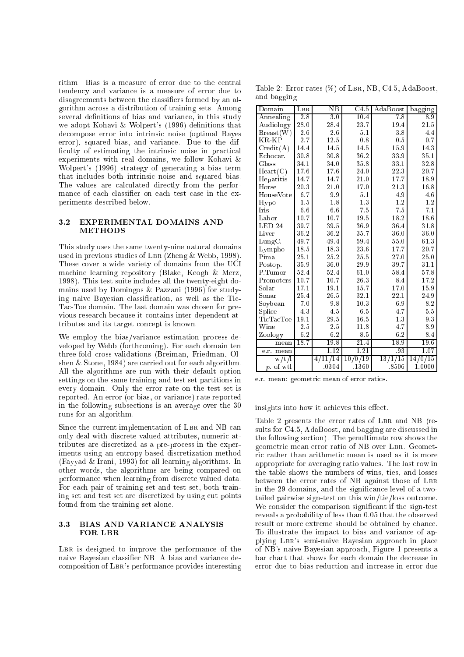rithm. Bias is a measure of error due to the central tendency and variance is a measure of error due to disagreements between the classiers formed by an algorithm across a distribution of training sets. Among several definitions of bias and variance, in this study we adopt Kohavi  $&$  Wolpert's (1996) definitions that decompose error into intrinsic noise (optimal Bayes error), squared bias, and variance. Due to the dif ficulty of estimating the intrinsic noise in practical experiments with real domains, we follow Kohavi & Wolpert's (1996) strategy of generating a bias term that includes both intrinsic noise and squared bias. The values are calculated directly from the performance of each classifier on each test case in the experiments described below.

#### 3.2 EXPERIMENTAL DOMAINS AND METHODS

This study uses the same twenty-nine natural domains used in previous studies of LBR (Zheng  $&$  Webb, 1998). These cover a wide variety of domains from the UCI machine learning repository (Blake, Keogh & Merz, 1998). This test suite includes all the twenty-eight domains used by Domingos & Pazzani (1996) for studying naive Bayesian classication, as well as the Tic-Tac-Toe domain. The last domain was chosen for previous research because it contains inter-dependent attributes and its target concept is known.

We employ the bias/variance estimation process developed by Webb (forthcoming). For each domain ten three-fold cross-validations (Breiman, Friedman, Olshen & Stone, 1984) are carried out for each algorithm. All the algorithms are run with their default option settings on the same training and test set partitions in every domain. Only the error rate on the test set is reported. An error (or bias, or variance) rate reported in the following subsections is an average over the 30 runs for an algorithm.

Since the current implementation of LBR and NB can only deal with discrete valued attributes, numeric attributes are discretized as a pre-process in the experiments using an entropy-based discretization method (Fayyad & Irani, 1993) for all learning algorithms. In other words, the algorithms are being compared on performance when learning from discrete valued data. For each pair of training set and test set, both training set and test set are discretized by using cut points found from the training set alone.

#### 3.3 BIAS AND VARIANCE ANALYSIS FOR LBR

LBR is designed to improve the performance of the naive Bayesian classier NB. A bias and variance decomposition of Lbr's performance provides interesting

Table 2: Error rates  $(\%)$  of LBR, NB, C4.5, AdaBoost, and bagging

| Domain                     | $_{\rm LBR}$     | $_{\rm NB}$ | $\overline{\text{C4.5}}$ | AdaBoost | $_{\rm bagging}$ |
|----------------------------|------------------|-------------|--------------------------|----------|------------------|
| Annealing                  | $\overline{2.8}$ | 3.0         | $\overline{10.4}$        | 7.8      | 8.9              |
| Audiology                  | 28.0             | 28.4        | 23.7                     | 19.4     | 21.5             |
| Breat(W)                   | 2.6              | 2.6         | 5.1                      | 3.8      | 4.4              |
| <b>KR</b> KP               | 2.7              | 12.5        | 0.8                      | 0.5      | 0.7              |
| Credit(A)                  | 14.4             | 14.5        | 14.5                     | 15.9     | 14.3             |
| Echocar.                   | 30.8             | 30.8        | 36.2                     | 33.9     | 35.1             |
| Glass                      | 34.1             | 34.0        | 35.8                     | 33.1     | 32.8             |
| Heart(C)                   | 17.6             | 17.6        | 24.0                     | 22.3     | 20.7             |
| Hepatitis                  | 14.7             | 14.7        | 21.0                     | 17.7     | 18.9             |
| Horse                      | 20.3             | 21.0        | 17.0                     | 21.3     | 16.8             |
| HouseVote                  | 6.7              | 9.9         | 5.1                      | 4.9      | 4.6              |
| Hypo                       | 1.5              | 1.8         | 1.3                      | 1.2      | 1.2              |
| Iris                       | 6.6              | 6.6         | 7.5                      | 7.5      | 7.1              |
| Labor                      | 10.7             | 10.7        | 19.5                     | 18.2     | 18.6             |
| LED <sub>24</sub>          | 39.7             | 39.5        | 36.9                     | 36.4     | 31.8             |
| Liver                      | 36.2             | 36.2        | 35.7                     | 36.0     | 36.0             |
| $LungC$ .                  | 49.7             | 49.4        | 59.4                     | 55.0     | 61.3             |
| Lympho                     | 18.5             | 18.3        | 23.6                     | 17.7     | 20.7             |
| Pima                       | 25.1             | 25.2        | 25.5                     | 27.0     | 25.0             |
| Postop.                    | 35.9             | 36.0        | 29.9                     | 39.7     | 31.1             |
| P.Tumor                    | 52.4             | 52.4        | 61.0                     | 58.4     | 57.8             |
| Promoters                  | 10.7             | 10.7        | 26.3                     | 8.4      | 17.2             |
| Solar                      | 17.1             | 19.1        | 15.7                     | 17.0     | 15.9             |
| Sonar                      | 25.4             | 26.5        | 32.1                     | 22.1     | 24.9             |
| Soybean                    | 7.0              | 9.8         | 10.3                     | 6.9      | 8.2              |
| Splice                     | 4.3              | 4.5         | 6.5                      | 4.7      | 5.5              |
| $\operatorname{TicTacToe}$ | 19.1             | 29.5        | 16.5                     | 1.3      | 93               |
| Wine                       | 2.5              | 2.5         | 11.8                     | 4.7      | 8.9              |
| Zoology                    | 6.2              | 6.2         | 8.5                      | 6.2      | 8.4              |
| mean                       | 18.7             | 19.8        | 21.4                     | 18.9     | 19.6             |
| mean<br>e.r.               |                  | 1.12        | 1.21                     | -93      | 1.07             |
| w/t/l                      |                  | 4/11/14     | 10/0/19                  | 13/1/15  | 14/0/15          |
| $p.$ of wtl                |                  | .0304       | .1360                    | .8506    | 1.0000           |

e.r. mean: geometric mean of error ratios.

insights into how it achieves this effect.

Table 2 presents the error rates of LBR and NB (results for C4.5, AdaBoost, and bagging are discussed in the following section). The penultimate row shows the geometric mean error ratio of NB over LBR. Geometric rather than arithmetic mean is used as it is more appropriate for averaging ratio values. The last row in the table shows the numbers of wins, ties, and losses between the error rates of NB against those of LBR in the 29 domains, and the signicance level of a twotailed pairwise sign-test on this win/tie/loss outcome. We consider the comparison signicant if the sign-test reveals a probability of less than 0.05 that the observed result or more extreme should be obtained by chance. To illustrate the impact to bias and variance of applying Lbr's semi-naive Bayesian approach in place of NB's naive Bayesian approach, Figure 1 presents a bar chart that shows for each domain the decrease in error due to bias reduction and increase in error due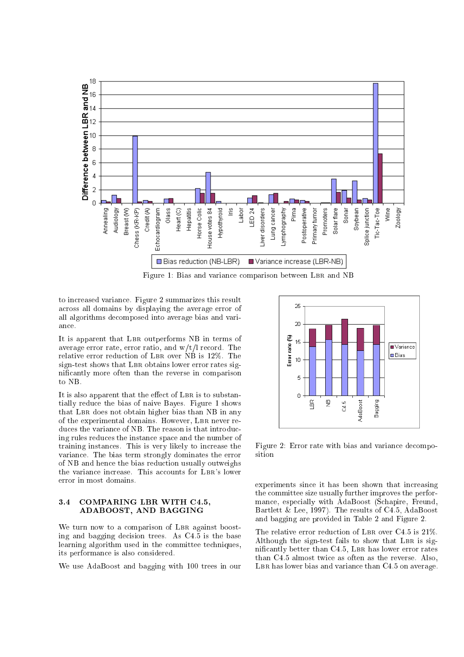

Figure 1: Bias and variance comparison between LBR and NB

to increased variance. Figure 2 summarizes this result across all domains by displaying the average error of all algorithms decomposed into average bias and variance.

It is apparent that LBR outperforms NB in terms of average error rate, error ratio, and  $w/t/l$  record. The relative error reduction of LBR over NB is 12%. The sign-test shows that LBR obtains lower error rates signicantly more often than the reverse in comparison to NB.

It is also apparent that the effect of LBR is to substantially reduce the bias of naive Bayes. Figure 1 shows that LBR does not obtain higher bias than NB in any of the experimental domains. However, LBR never reduces the variance of NB. The reason is that introducing rules reduces the instance space and the number of training instances. This is very likely to increase the variance. The bias term strongly dominates the error of NB and hence the bias reduction usually outweighs the variance increase. This accounts for LBR's lower error in most domains.

#### $3.4$ COMPARING LBR WITH C4.5, ADABOOST, AND BAGGING

We turn now to a comparison of LBR against boosting and bagging decision trees. As C4.5 is the base learning algorithm used in the committee techniques, its performance is also considered.

We use AdaBoost and bagging with 100 trees in our



Figure 2: Error rate with bias and variance decomposition

experiments since it has been shown that increasing the committee size usually further improves the performance, especially with AdaBoost (Schapire, Freund, Bartlett & Lee, 1997). The results of C4.5, AdaBoost and bagging are provided in Table 2 and Figure 2.

The relative error reduction of LBR over  $C4.5$  is  $21\%$ . Although the sign-test fails to show that LBR is significantly better than C4.5, LBR has lower error rates than C4.5 almost twice as often as the reverse. Also, LBR has lower bias and variance than C4.5 on average.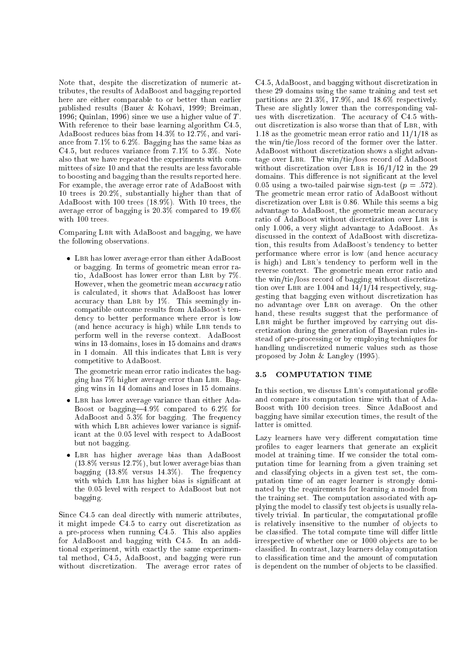Note that, despite the discretization of numeric attributes, the results of AdaBoost and bagging reported here are either comparable to or better than earlier published results (Bauer & Kohavi, 1999; Breiman, 1996; Quinlan, 1996) since we use a higher value of  $T$ . With reference to their base learning algorithm C4.5, AdaBoost reduces bias from 14.3% to 12.7%, and variance from 7.1% to 6.2%. Bagging has the same bias as C4.5, but reduces variance from 7.1% to 5.3%. Note also that we have repeated the experiments with committees of size 10 and that the results are less favorable to boosting and bagging than the results reported here. For example, the average error rate of AdaBoost with 10 trees is 20.2%, substantially higher than that of AdaBoost with 100 trees (18.9%). With 10 trees, the average error of bagging is 20.3% compared to 19.6% with  $100$  trees.

Comparing LBR with AdaBoost and bagging, we have the following observations.

• LBR has lower average error than either  $A$ daBoost or bagging. In terms of geometric mean error ratio, AdaBoost has lower error than LBR by 7%. However, when the geometric mean accuracy ratio is calculated, it shows that AdaBoost has lower accuracy than LBR by  $1\%$ . This seemingly incompatible outcome results from AdaBoost's tendency to better performance where error is low (and hence accuracy is high) while LBR tends to perform well in the reverse context. AdaBoost wins in 13 domains, loses in 15 domains and draws in 1 domain. All this indicates that LBR is very competitive to AdaBoost.

The geometric mean error ratio indicates the bagging has 7% higher average error than Lbr. Bagging wins in 14 domains and loses in 15 domains.

- LBR has lower average variance than either Ada-Boost or bagging  $-4.9\%$  compared to 6.2% for AdaBoost and 5.3% for bagging. The frequency with which LBR achieves lower variance is significant at the 0.05 level with respect to AdaBoost but not bagging.
- LBR has higher average bias than AdaBoost (13.8% versus 12.7%), but lower average bias than bagging (13.8% versus 14.3%). The frequency with which LBR has higher bias is significant at the 0.05 level with respect to AdaBoost but not bagging.

Since C4.5 can deal directly with numeric attributes, it might impede C4.5 to carry out discretization as a pre-process when running C4.5. This also applies for AdaBoost and bagging with C4.5. In an additional experiment, with exactly the same experimental method, C4.5, AdaBoost, and bagging were run without discretization. The average error rates of

C4.5, AdaBoost, and bagging without discretization in these 29 domains using the same training and test set partitions are 21.3%,  $\overline{17.9\%}$ , and  $18.6\%$  respectively. These are slightly lower than the corresponding values with discretization. The accuracy of C4.5 without discretization is also worse than that of LBR, with 1.18 as the geometric mean error ratio and 11/1/18 as the win/tie/loss record of the former over the latter. AdaBoost without discretization shows a slight advantage over Lbr. The win/tie/loss record of AdaBoost without discretization over LBR is  $16/1/12$  in the 29 domains. This difference is not significant at the level 0.05 using a two-tailed pairwise sign-test  $(p = .572)$ . The geometric mean error ratio of AdaBoost without discretization over LBR is 0.86. While this seems a big advantage to AdaBoost, the geometric mean accuracy ratio of AdaBoost without discretization over LBR is only 1.006, a very slight advantage to AdaBoost. As discussed in the context of AdaBoost with discretization, this results from AdaBoost's tendency to better performance where error is low (and hence accuracy is high) and LBR's tendency to perform well in the reverse context. The geometric mean error ratio and the win/tie/loss record of bagging without discretization over LBR are  $1.004$  and  $14/1/14$  respectively, suggesting that bagging even without discretization has no advantage over LBR on average. On the other hand, these results suggest that the performance of LBR might be further improved by carrying out discretization during the generation of Bayesian rules instead of pre-processing or by employing techniques for handling undiscretized numeric values such as those proposed by John & Langley (1995).

#### 3.5 COMPUTATION TIME

In this section, we discuss LBR's computational profile and compare its computation time with that of Ada-Boost with 100 decision trees. Since AdaBoost and bagging have similar execution times, the result of the latter is omitted.

Lazy learners have very different computation time profiles to eager learners that generate an explicit model at training time. If we consider the total computation time for learning from a given training set and classifying ob jects in a given test set, the computation time of an eager learner is strongly dominated by the requirements for learning a model from the training set. The computation associated with applying the model to classify test ob jects is usually relatively trivial. In particular, the computational profile is relatively insensitive to the number of objects to be classified. The total compute time will differ little irrespective of whether one or 1000 ob jects are to be classied. In contrast, lazy learners delay computation to classication time and the amount of computation is dependent on the number of objects to be classified.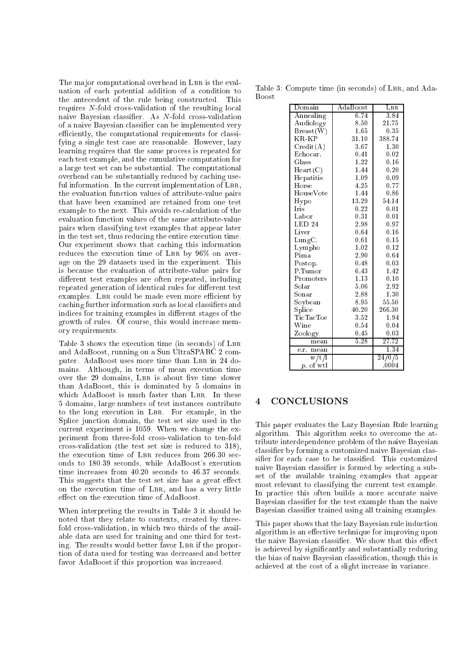The major computational overhead in LBR is the evaluation of each potential addition of a condition to the antecedent of the rule being constructed. This requires  $N$ -fold cross-validation of the resulting local naive Bayesian classier. As N-fold cross-validation of a naive Bayesian classier can be implemented very efficiently, the computational requirements for classifying a single test case are reasonable. However, lazy learning requires that the same process is repeated for each test example, and the cumulative computation for a large test set can be substantial. The computational overhead can be substantially reduced by caching useful information. In the current implementation of LBR, the evaluation function values of attribute-value pairs that have been examined are retained from one test example to the next. This avoids re-calculation of the evaluation function values of the same attribute-value pairs when classifying test examples that appear later in the test set, thus reducing the entire execution time. Our experiment shows that caching this information reduces the execution time of LBR by 96% on average on the 29 datasets used in the experiment. This is because the evaluation of attribute-value pairs for different test examples are often repeated, including repeated generation of identical rules for different test examples. LBR could be made even more efficient by caching further information such as local classiers and indices for training examples in different stages of the growth of rules. Of course, this would increase memory requirements.

Table 3 shows the execution time (in seconds) of LBR and AdaBoost, running on a Sun UltraSPARC 2 computer. AdaBoost uses more time than LBR in 24 domains. Although, in terms of mean execution time over the 29 domains, LBR is about five time slower than AdaBoost, this is dominated by 5 domains in which AdaBoost is much faster than LBR. In these 5 domains, large numbers of test instances contribute to the long execution in Lbr. For example, in the Splice junction domain, the test set size used in the current experiment is 1059. When we change the experiment from three-fold cross-validation to ten-fold cross-validation (the test set size is reduced to 318), the execution time of LBR reduces from 266.30 seconds to 180.39 seconds, while AdaBoost's execution time increases from 40.20 seconds to 46.37 seconds. This suggests that the test set size has a great effect on the execution time of Lbr, and has a very little effect on the execution time of AdaBoost.

When interpreting the results in Table 3 it should be noted that they relate to contexts, created by threefold cross-validation, in which two thirds of the available data are used for training and one third for testing. The results would better favor LBR if the proportion of data used for testing was decreased and better favor AdaBoost if this proportion was increased.

Table 3: Compute time (in seconds) of LBR, and Ada-**Boost** 

| Domain               | AdaBoost | $_{\rm LBR}$       |
|----------------------|----------|--------------------|
| Annealing            | 6.74     | 3.84               |
| Audiology            | 8.50     | 21.75              |
| Breat(W)             | 1.65     | 0.35               |
| KR-KP                | 31.10    | 388.74             |
| Credit(A)            | 3.67     | 1.30               |
| Echocar.             | 0.41     | 0.02               |
| Glass                | 1.22     | 0.16               |
| Heart(C)             | 1.44     | 0.20               |
| Hepatitis            | 1.09     | 0.09               |
| Horse                | 4.25     | 0.77               |
| HouseVote            | 1.44     | 0.86               |
| Hypo                 | 13.29    | 54.14              |
| <b>Iris</b>          | 0.22     | 0.01               |
| ${\rm Labor}$        | 0.31     | 0.01               |
| LED <sub>24</sub>    | 2.98     | 0.97               |
| Liver                | 0.64     | 0.16               |
| $_{\rm LungC.}$      | 0.61     | 0.15               |
| Lympho               | 1.02     | 0.12               |
| Pima                 | 2.90     | 0.64               |
| Postop.              | 0.48     | 0.03               |
| P.Tumor              | 6.43     | 1.42               |
| Promoters            | 1.13     | 0.10               |
| $_{\rm Solar}$       | 5.06     | 2.92               |
| $_{\rm Sonar}$       | 2.88     | 1.30               |
| Soybean              | 8.95     | 55.50              |
| Splice               | 40.20    | 266.30             |
| TicTacToe            | 3.52     | 1.94               |
| Wine                 | 0.54     | 0.04               |
| Zoology              | 0.45     | 0.03               |
| mean                 | 5.28     | $\overline{27.72}$ |
| e.r.<br>mean         |          | 1.34               |
| $\sqrt{\frac{t}{1}}$ |          | 24/0/5             |
| of wtl<br>$p$ .      |          | .0004              |

### 4 CONCLUSIONS

This paper evaluates the Lazy Bayesian Rule learning algorithm. This algorithm seeks to overcome the attribute interdependence problem of the naive Bayesian classier by forming a customized naive Bayesian classifier for each case to be classified. This customized naive Bayesian classifier is formed by selecting a subset of the available training examples that appear most relevant to classifying the current test example. In practice this often builds a more accurate naive Bayesian classier for the test example than the naive Bayesian classier trained using all training examples.

This paper shows that the lazy Bayesian rule induction algorithm is an effective technique for improving upon the naive Bayesian classifier. We show that this effect is achieved by signicantly and substantially reducing the bias of naive Bayesian classication, though this is achieved at the cost of a slight increase in variance.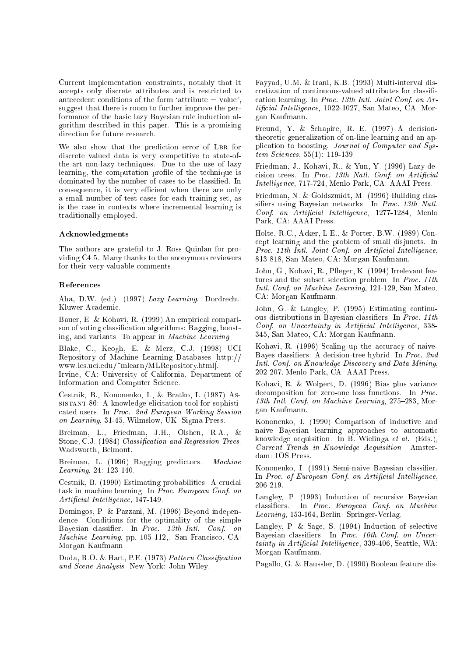Current implementation constraints, notably that it accepts only discrete attributes and is restricted to antecedent conditions of the form 'attribute  $=$  value', suggest that there is room to further improve the performance of the basic lazy Bayesian rule induction algorithm described in this paper. This is a promising direction for future research.

We also show that the prediction error of LBR for discrete valued data is very competitive to state-ofthe-art non-lazy techniques. Due to the use of lazy learning, the computation profile of the technique is dominated by the number of cases to be classied. In consequence, it is very efficient when there are only a small number of test cases for each training set, as is the case in contexts where incremental learning is traditionally employed.

#### Acknowledgments

The authors are grateful to J. Ross Quinlan for providing C4.5. Many thanks to the anonymous reviewers for their very valuable comments.

#### References

Aha, D.W. (ed.) (1997) Lazy Learning. Dordrecht: Kluwer Academic.

Bauer, E. & Kohavi, R. (1999) An empirical comparison of voting classication algorithms: Bagging, boosting, and variants. To appear in Machine Learning.

Blake, C., Keogh, E. & Merz, C.J. (1998) UCI Repository of Machine Learning Databases [http:// www.ics.uci.edu/~mlearn/MLRepository.html].

Irvine, CA: University of California, Department of Information and Computer Science.

Cestnik, B., Kononenko, I., & Bratko, I. (1987) Assistant 86: A knowledge-elicitation tool for sophisticated users. In Proc. 2nd European Working Session on Learning, 31-45, Wilmslow, UK: Sigma Press.

Breiman, L., Friedman, J.H., Olshen, R.A., & Stone, C.J. (1984) Classification and Regression Trees. Wadsworth, Belmont.

Breiman, L. (1996) Bagging predictors. Machine Learning, 24: 123-140.

Cestnik, B. (1990) Estimating probabilities: A crucial task in machine learning. In Proc. European Conf. on  $Artificial Intelligence, 147-149.$ 

Domingos, P. & Pazzani, M. (1996) Beyond independence: Conditions for the optimality of the simple Bayesian classier. In Proc. 13th Intl. Conf. on Machine Learning, pp. 105-112,. San Francisco, CA: Morgan Kaufmann.

Duda, R.O. & Hart, P.E. (1973) Pattern Classification and Scene Analysis. New York: John Wiley.

Fayyad, U.M. & Irani, K.B. (1993) Multi-interval discretization of continuous-valued attributes for classi cation learning. In Proc. 13th Intl. Joint Conf. on Ar $tificial\ Intelligence$ , 1022-1027, San Mateo, CA: Morgan Kaufmann.

Freund, Y. & Schapire, R. E. (1997) A decisiontheoretic generalization of on-line learning and an application to boosting. Journal of Computer and System Sciences, 55(1): 119-139.

Friedman, J., Kohavi, R., & Yun, Y. (1996) Lazy decision trees. In Process In Province Conf. In Process Intelligence, 717-724, Menlo Park, CA: AAAI Press.

Friedman, N. & Goldszmidt, M. (1996) Building classifiers using Bayesian networks. In Proc. 13th Natl. Conf. on Artificial Intelligence, 1277-1284, Menlo Park, CA: AAAI Press.

Holte, R.C., Acker, L.E., & Porter, B.W. (1989) Concept learning and the problem of small disjuncts. In Proc. 11th Intl. Joint Conf. on Artificial Intelligence, 813-818, San Mateo, CA: Morgan Kaufmann.

John, G., Kohavi, R., Pfleger, K. (1994) Irrelevant features and the subset selection problem. In Proc. 11th Intl. Conf. on Machine Learning, 121-129, San Mateo, CA: Morgan Kaufmann.

John, G. & Langley, P. (1995) Estimating continuous distributions in Bayesian classiers. In Proc. 11th Conf. on Uncertainty in Artificial Intelligence, 338-345, San Mateo, CA: Morgan Kaufmann.

Kohavi, R. (1996) Scaling up the accuracy of naive-Bayes classiers: A decision-tree hybrid. In Proc. 2nd Intl. Conf. on Knowledge Discovery and Data Mining, 202-207, Menlo Park, CA: AAAI Press.

Kohavi, R. & Wolpert, D. (1996) Bias plus variance decomposition for zero-one loss functions. In Proc. 13th Intl. Conf. on Machine Learning,  $275-283$ , Morgan Kaufmann.

Kononenko, I. (1990) Comparison of inductive and naive Bayesian learning approaches to automatic knowledge acquisition. In B. Wielinga et al. (Eds.), Current Trends in Knowledge Acquisition. Amsterdam: IOS Press.

Kononenko, I. (1991) Semi-naive Bayesian classifier. In Proc. of European Conf. on Artificial Intelligence, 206-219.

Langley, P. (1993) Induction of recursive Bayesian classiers. In Proc. European Conf. on Machine Learning, 153-164, Berlin: Springer-Verlag.

Langley, P. & Sage, S. (1994) Induction of selective Bayesian classiers. In Proc. 10th Conf. on Uncer $tainty$  in Artificial Intelligence, 339-406, Seattle, WA: Morgan Kaufmann.

Pagallo, G. & Haussler, D. (1990) Boolean feature dis-